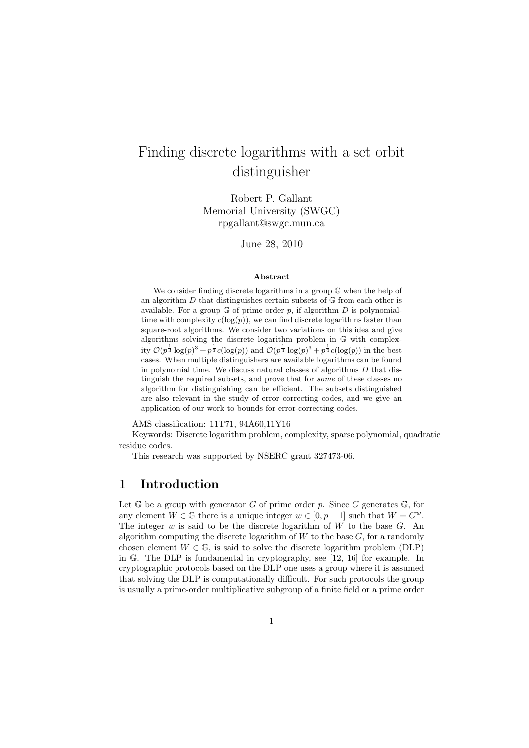# Finding discrete logarithms with a set orbit distinguisher

Robert P. Gallant Memorial University (SWGC) rpgallant@swgc.mun.ca

June 28, 2010

#### Abstract

We consider finding discrete logarithms in a group  $\mathbb{G}$  when the help of an algorithm  $D$  that distinguishes certain subsets of  $\mathbb G$  from each other is available. For a group  $\mathbb G$  of prime order p, if algorithm  $D$  is polynomialtime with complexity  $c(\log(p))$ , we can find discrete logarithms faster than square-root algorithms. We consider two variations on this idea and give algorithms solving the discrete logarithm problem in G with complexity  $\mathcal{O}(p^{\frac{1}{3}} \log(p)^3 + p^{\frac{1}{3}} c(\log(p))$  and  $\mathcal{O}(p^{\frac{1}{4}} \log(p)^3 + p^{\frac{1}{4}} c(\log(p))$  in the best cases. When multiple distinguishers are available logarithms can be found in polynomial time. We discuss natural classes of algorithms  $D$  that distinguish the required subsets, and prove that for some of these classes no algorithm for distinguishing can be efficient. The subsets distinguished are also relevant in the study of error correcting codes, and we give an application of our work to bounds for error-correcting codes.

AMS classification: 11T71, 94A60,11Y16

Keywords: Discrete logarithm problem, complexity, sparse polynomial, quadratic residue codes.

This research was supported by NSERC grant 327473-06.

### 1 Introduction

Let  $\mathbb G$  be a group with generator G of prime order p. Since G generates  $\mathbb G$ , for any element  $W \in \mathbb{G}$  there is a unique integer  $w \in [0, p-1]$  such that  $W = G^w$ . The integer w is said to be the discrete logarithm of  $W$  to the base  $G$ . An algorithm computing the discrete logarithm of  $W$  to the base  $G$ , for a randomly chosen element  $W \in \mathbb{G}$ , is said to solve the discrete logarithm problem (DLP) in G. The DLP is fundamental in cryptography, see [12, 16] for example. In cryptographic protocols based on the DLP one uses a group where it is assumed that solving the DLP is computationally difficult. For such protocols the group is usually a prime-order multiplicative subgroup of a finite field or a prime order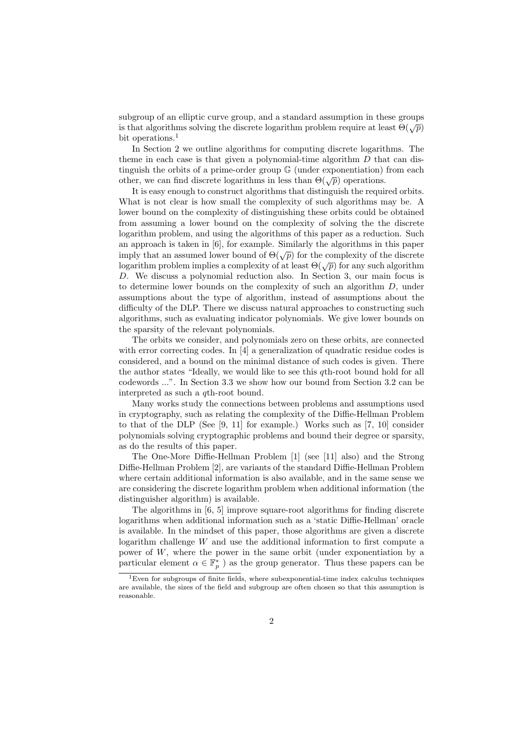subgroup of an elliptic curve group, and a standard assumption in these groups is that algorithms solving the discrete logarithm problem require at least  $\Theta(\sqrt{p})$ bit operations.<sup>1</sup>

In Section 2 we outline algorithms for computing discrete logarithms. The theme in each case is that given a polynomial-time algorithm  $D$  that can distinguish the orbits of a prime-order group G (under exponentiation) from each other, we can find discrete logarithms in less than  $\Theta(\sqrt{p})$  operations.

It is easy enough to construct algorithms that distinguish the required orbits. What is not clear is how small the complexity of such algorithms may be. A lower bound on the complexity of distinguishing these orbits could be obtained from assuming a lower bound on the complexity of solving the the discrete logarithm problem, and using the algorithms of this paper as a reduction. Such an approach is taken in [6], for example. Similarly the algorithms in this paper imply that an assumed lower bound of  $\Theta(\sqrt{p})$  for the complexity of the discrete logarithm problem implies a complexity of at least  $\Theta(\sqrt{p})$  for any such algorithm D. We discuss a polynomial reduction also. In Section 3, our main focus is to determine lower bounds on the complexity of such an algorithm D, under assumptions about the type of algorithm, instead of assumptions about the difficulty of the DLP. There we discuss natural approaches to constructing such algorithms, such as evaluating indicator polynomials. We give lower bounds on the sparsity of the relevant polynomials.

The orbits we consider, and polynomials zero on these orbits, are connected with error correcting codes. In [4] a generalization of quadratic residue codes is considered, and a bound on the minimal distance of such codes is given. There the author states "Ideally, we would like to see this qth-root bound hold for all codewords ...". In Section 3.3 we show how our bound from Section 3.2 can be interpreted as such a qth-root bound.

Many works study the connections between problems and assumptions used in cryptography, such as relating the complexity of the Diffie-Hellman Problem to that of the DLP (See [9, 11] for example.) Works such as [7, 10] consider polynomials solving cryptographic problems and bound their degree or sparsity, as do the results of this paper.

The One-More Diffie-Hellman Problem [1] (see [11] also) and the Strong Diffie-Hellman Problem [2], are variants of the standard Diffie-Hellman Problem where certain additional information is also available, and in the same sense we are considering the discrete logarithm problem when additional information (the distinguisher algorithm) is available.

The algorithms in [6, 5] improve square-root algorithms for finding discrete logarithms when additional information such as a 'static Diffie-Hellman' oracle is available. In the mindset of this paper, those algorithms are given a discrete logarithm challenge W and use the additional information to first compute a power of  $W$ , where the power in the same orbit (under exponentiation by a particular element  $\alpha \in \mathbb{F}_p^*$  ) as the group generator. Thus these papers can be

 ${}^{1}$ Even for subgroups of finite fields, where subexponential-time index calculus techniques are available, the sizes of the field and subgroup are often chosen so that this assumption is reasonable.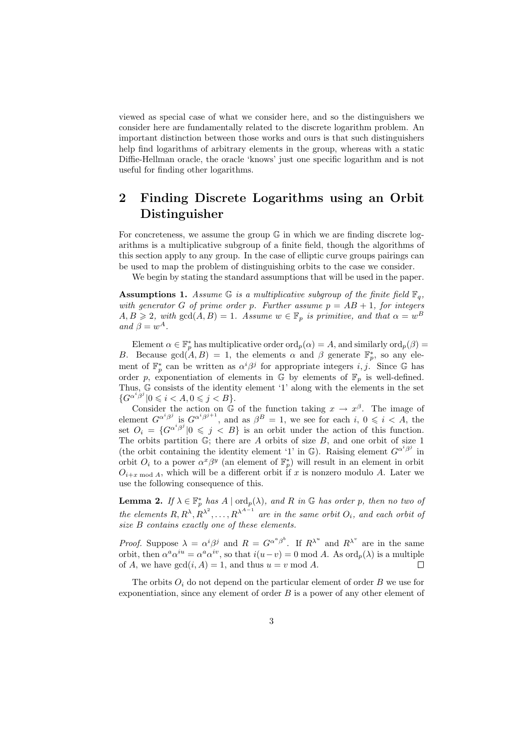viewed as special case of what we consider here, and so the distinguishers we consider here are fundamentally related to the discrete logarithm problem. An important distinction between those works and ours is that such distinguishers help find logarithms of arbitrary elements in the group, whereas with a static Diffie-Hellman oracle, the oracle 'knows' just one specific logarithm and is not useful for finding other logarithms.

# 2 Finding Discrete Logarithms using an Orbit Distinguisher

For concreteness, we assume the group  $\mathbb G$  in which we are finding discrete logarithms is a multiplicative subgroup of a finite field, though the algorithms of this section apply to any group. In the case of elliptic curve groups pairings can be used to map the problem of distinguishing orbits to the case we consider.

We begin by stating the standard assumptions that will be used in the paper.

**Assumptions 1.** Assume  $\mathbb{G}$  is a multiplicative subgroup of the finite field  $\mathbb{F}_q$ , with generator G of prime order p. Further assume  $p = AB + 1$ , for integers  $A, B \geqslant 2$ , with  $gcd(A, B) = 1$ . Assume  $w \in \mathbb{F}_p$  is primitive, and that  $\alpha = w^B$ and  $\beta = w^A$ .

Element  $\alpha \in \mathbb{F}_p^*$  has multiplicative order  $\text{ord}_p(\alpha) = A$ , and similarly  $\text{ord}_p(\beta) =$ B. Because  $gcd(A, B) = 1$ , the elements  $\alpha$  and  $\beta$  generate  $\mathbb{F}_p^*$ , so any element of  $\mathbb{F}_p^*$  can be written as  $\alpha^i\beta^j$  for appropriate integers i, j. Since G has order p, exponentiation of elements in  $\mathbb G$  by elements of  $\mathbb F_p$  is well-defined. Thus, G consists of the identity element '1' along with the elements in the set  ${G^{\alpha}}^{i\beta j} | 0 \leq i < A, 0 \leq j < B$ .

Consider the action on  $\mathbb G$  of the function taking  $x \to x^{\beta}$ . The image of element  $G^{\alpha^i\beta^j}$  is  $G^{\alpha^i\beta^{j+1}}$ , and as  $\beta^B = 1$ , we see for each i,  $0 \leq i \leq A$ , the set  $O_i = \{G^{\alpha^i\beta^j} | 0 \leq j \leq B\}$  is an orbit under the action of this function. The orbits partition  $\mathbb{G}$ ; there are A orbits of size B, and one orbit of size 1 (the orbit containing the identity element '1' in  $\mathbb{G}$ ). Raising element  $G^{\alpha^i\beta^j}$  in orbit  $O_i$  to a power  $\alpha^x \beta^y$  (an element of  $\mathbb{F}_p^*$ ) will result in an element in orbit  $O_{i+x \mod A}$ , which will be a different orbit if x is nonzero modulo A. Later we use the following consequence of this.

**Lemma 2.** If  $\lambda \in \mathbb{F}_p^*$  has  $A \mid \text{ord}_p(\lambda)$ , and R in G has order p, then no two of the elements  $R, R^{\lambda}, R^{\lambda^2}, \ldots, R^{\lambda^{A-1}}$  are in the same orbit  $O_i$ , and each orbit of size B contains exactly one of these elements.

*Proof.* Suppose  $\lambda = \alpha^i \beta^j$  and  $R = G^{\alpha^a \beta^b}$ . If  $R^{\lambda^u}$  and  $R^{\lambda^v}$  are in the same orbit, then  $\alpha^a \alpha^{iu} = \alpha^a \alpha^{iv}$ , so that  $i(u - v) = 0 \text{ mod } A$ . As  $\text{ord}_p(\lambda)$  is a multiple of A, we have  $gcd(i, A) = 1$ , and thus  $u = v \mod A$ .  $\Box$ 

The orbits  $O_i$  do not depend on the particular element of order B we use for exponentiation, since any element of order B is a power of any other element of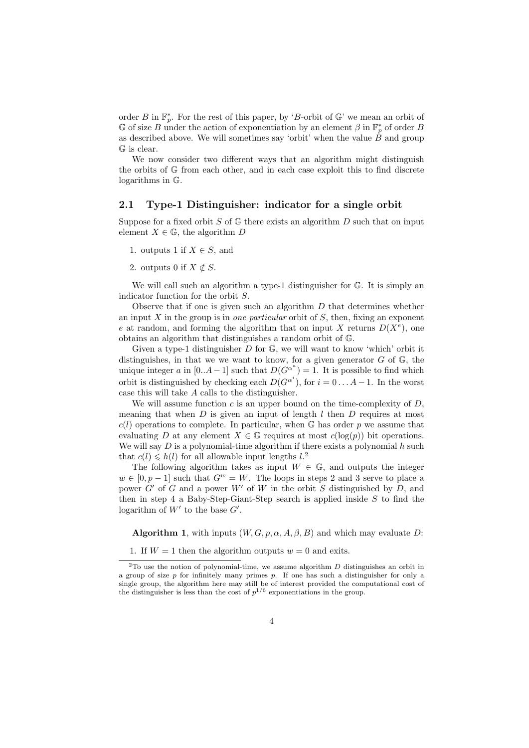order B in  $\mathbb{F}_p^*$ . For the rest of this paper, by 'B-orbit of  $\mathbb{G}$ ' we mean an orbit of G of size B under the action of exponentiation by an element  $\beta$  in  $\mathbb{F}_p^*$  of order B as described above. We will sometimes say 'orbit' when the value  $\dot{B}$  and group G is clear.

We now consider two different ways that an algorithm might distinguish the orbits of G from each other, and in each case exploit this to find discrete logarithms in G.

#### 2.1 Type-1 Distinguisher: indicator for a single orbit

Suppose for a fixed orbit S of  $\mathbb G$  there exists an algorithm D such that on input element  $X \in \mathbb{G}$ , the algorithm D

- 1. outputs 1 if  $X \in S$ , and
- 2. outputs 0 if  $X \notin S$ .

We will call such an algorithm a type-1 distinguisher for  $\mathbb{G}$ . It is simply an indicator function for the orbit S.

Observe that if one is given such an algorithm  $D$  that determines whether an input  $X$  in the group is in one particular orbit of  $S$ , then, fixing an exponent e at random, and forming the algorithm that on input X returns  $D(X^e)$ , one obtains an algorithm that distinguishes a random orbit of G.

Given a type-1 distinguisher  $D$  for  $\mathbb{G}$ , we will want to know 'which' orbit it distinguishes, in that we we want to know, for a given generator  $G$  of  $\mathbb{G}$ , the unique integer a in [0..A – 1] such that  $D(G^{\alpha^a}) = 1$ . It is possible to find which orbit is distinguished by checking each  $D(G^{\alpha^i})$ , for  $i = 0...A-1$ . In the worst case this will take A calls to the distinguisher.

We will assume function  $c$  is an upper bound on the time-complexity of  $D$ . meaning that when  $D$  is given an input of length  $l$  then  $D$  requires at most  $c(l)$  operations to complete. In particular, when G has order p we assume that evaluating D at any element  $X \in \mathbb{G}$  requires at most  $c(\log(p))$  bit operations. We will say  $D$  is a polynomial-time algorithm if there exists a polynomial  $h$  such that  $c(l) \leq h(l)$  for all allowable input lengths  $l^2$ .

The following algorithm takes as input  $W \in \mathbb{G}$ , and outputs the integer  $w \in [0, p-1]$  such that  $G^w = W$ . The loops in steps 2 and 3 serve to place a power  $G'$  of G and a power  $W'$  of W in the orbit S distinguished by D, and then in step 4 a Baby-Step-Giant-Step search is applied inside  $S$  to find the logarithm of  $W'$  to the base  $G'$ .

**Algorithm 1**, with inputs  $(W, G, p, \alpha, A, \beta, B)$  and which may evaluate D:

1. If  $W = 1$  then the algorithm outputs  $w = 0$  and exits.

 $2$ To use the notion of polynomial-time, we assume algorithm  $D$  distinguishes an orbit in a group of size  $p$  for infinitely many primes  $p$ . If one has such a distinguisher for only a single group, the algorithm here may still be of interest provided the computational cost of the distinguisher is less than the cost of  $p^{1/6}$  exponentiations in the group.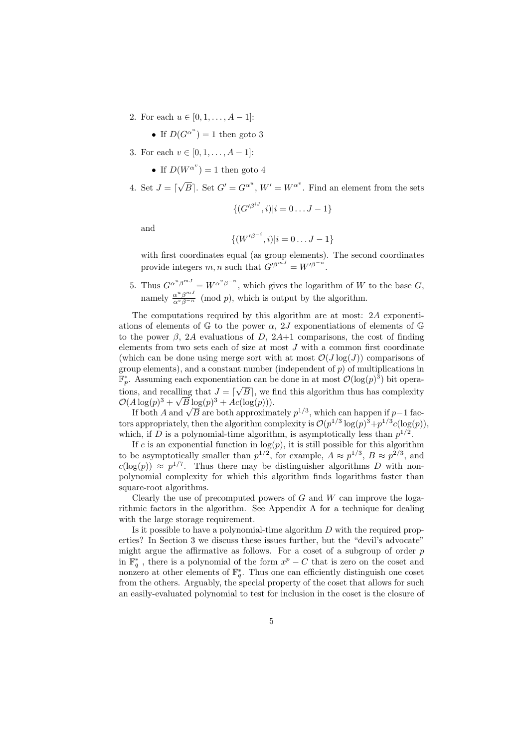- 2. For each  $u \in [0, 1, \ldots, A-1]$ :
	- If  $D(G^{\alpha^u}) = 1$  then goto 3
- 3. For each  $v \in [0, 1, \ldots, A-1]$ :
	- If  $D(W^{\alpha^v}) = 1$  then goto 4
- 4. Set  $J = \lceil$  $\sqrt{B}$ . Set  $G' = G^{\alpha^u}$ ,  $W' = W^{\alpha^v}$ . Find an element from the sets

$$
\{(G'^{\beta^{iJ}}, i)|i = 0 \dots J - 1\}
$$

and

$$
\{(W'^{\beta^{-i}}, i)|i = 0 \dots J - 1\}
$$

with first coordinates equal (as group elements). The second coordinates provide integers  $m, n$  such that  $G'^{\beta^{mJ}} = W'^{\beta^{-n}}$ .

5. Thus  $G^{\alpha^u\beta^{mJ}} = W^{\alpha^v\beta^{-n}}$ , which gives the logarithm of W to the base G, namely  $\frac{\alpha^u \beta^{mJ}}{\alpha^v \beta^{-n}}$  (mod p), which is output by the algorithm.

The computations required by this algorithm are at most: 2A exponentiations of elements of  $\mathbb{G}$  to the power  $\alpha$ , 2J exponentiations of elements of  $\mathbb{G}$ to the power  $\beta$ , 2A evaluations of D, 2A+1 comparisons, the cost of finding elements from two sets each of size at most  $J$  with a common first coordinate (which can be done using merge sort with at most  $\mathcal{O}(J \log(J))$  comparisons of group elements), and a constant number (independent of  $p$ ) of multiplications in  $\mathbb{F}_p^*$ . Assuming each exponentiation can be done in at most  $\mathcal{O}(\log(p)^3)$  bit operations, and recalling that  $J = \lfloor \sqrt{B} \rfloor$ , we find this algorithm thus has complexity  $\mathcal{O}(A \log(p)^3 + \sqrt{B} \log(p)^3 + Ac(\log(p))).$ 

 $\begin{aligned} \text{H}\log(p) & \to \sqrt{B}\log(p) + Ac(\log(p)))\,. \text{If both }A\text{ and }\sqrt{B}\text{ are both approximately }p^{1/3}\text{, which can happen if }p-1\text{ for all }n\geq 1. \end{aligned}$ tors appropriately, then the algorithm complexity is  $\mathcal{O}(p^{1/3} \log(p)^3 + p^{1/3} c(\log(p)),$ which, if D is a polynomial-time algorithm, is asymptotically less than  $p^{1/2}$ .

If c is an exponential function in  $log(p)$ , it is still possible for this algorithm to be asymptotically smaller than  $p^{1/2}$ , for example,  $A \approx p^{1/3}$ ,  $B \approx p^{2/3}$ , and  $c(\log(p)) \approx p^{1/7}$ . Thus there may be distinguisher algorithms D with nonpolynomial complexity for which this algorithm finds logarithms faster than square-root algorithms.

Clearly the use of precomputed powers of  $G$  and  $W$  can improve the logarithmic factors in the algorithm. See Appendix A for a technique for dealing with the large storage requirement.

Is it possible to have a polynomial-time algorithm  $D$  with the required properties? In Section 3 we discuss these issues further, but the "devil's advocate" might argue the affirmative as follows. For a coset of a subgroup of order  $p$ in  $\mathbb{F}_q^*$ , there is a polynomial of the form  $x^p - C$  that is zero on the coset and nonzero at other elements of  $\mathbb{F}_q^*$ . Thus one can efficiently distinguish one coset from the others. Arguably, the special property of the coset that allows for such an easily-evaluated polynomial to test for inclusion in the coset is the closure of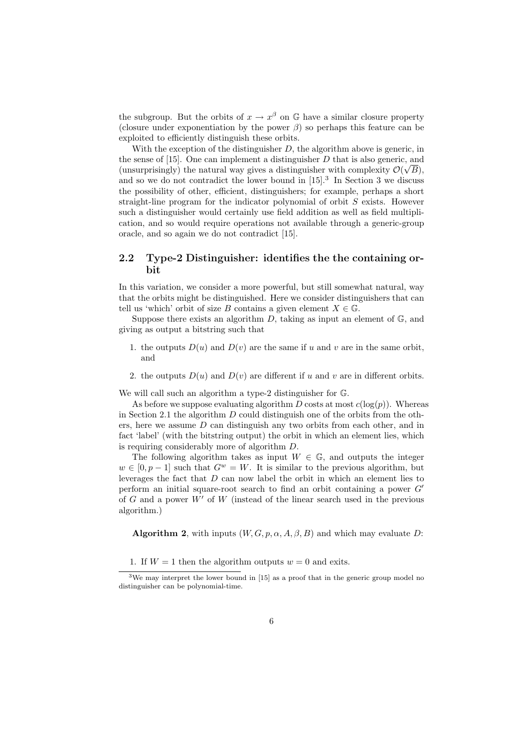the subgroup. But the orbits of  $x \to x^{\beta}$  on G have a similar closure property (closure under exponentiation by the power  $\beta$ ) so perhaps this feature can be exploited to efficiently distinguish these orbits.

With the exception of the distinguisher  $D$ , the algorithm above is generic, in the sense of [15]. One can implement a distinguisher  $D$  that is also generic, and (unsurprisingly) the natural way gives a distinguisher with complexity  $\mathcal{O}(\sqrt{B})$ , and so we do not contradict the lower bound in  $[15]$ <sup>3</sup>. In Section 3 we discuss the possibility of other, efficient, distinguishers; for example, perhaps a short straight-line program for the indicator polynomial of orbit S exists. However such a distinguisher would certainly use field addition as well as field multiplication, and so would require operations not available through a generic-group oracle, and so again we do not contradict [15].

### 2.2 Type-2 Distinguisher: identifies the the containing orbit

In this variation, we consider a more powerful, but still somewhat natural, way that the orbits might be distinguished. Here we consider distinguishers that can tell us 'which' orbit of size B contains a given element  $X \in \mathbb{G}$ .

Suppose there exists an algorithm  $D$ , taking as input an element of  $\mathbb{G}$ , and giving as output a bitstring such that

- 1. the outputs  $D(u)$  and  $D(v)$  are the same if u and v are in the same orbit, and
- 2. the outputs  $D(u)$  and  $D(v)$  are different if u and v are in different orbits.

We will call such an algorithm a type-2 distinguisher for G.

As before we suppose evaluating algorithm D costs at most  $c(\log(p))$ . Whereas in Section 2.1 the algorithm  $D$  could distinguish one of the orbits from the others, here we assume D can distinguish any two orbits from each other, and in fact 'label' (with the bitstring output) the orbit in which an element lies, which is requiring considerably more of algorithm D.

The following algorithm takes as input  $W \in \mathbb{G}$ , and outputs the integer  $w \in [0, p-1]$  such that  $G^w = W$ . It is similar to the previous algorithm, but leverages the fact that D can now label the orbit in which an element lies to perform an initial square-root search to find an orbit containing a power  $G'$ of G and a power  $W'$  of W (instead of the linear search used in the previous algorithm.)

**Algorithm 2,** with inputs  $(W, G, p, \alpha, A, \beta, B)$  and which may evaluate D:

1. If  $W = 1$  then the algorithm outputs  $w = 0$  and exits.

<sup>3</sup>We may interpret the lower bound in [15] as a proof that in the generic group model no distinguisher can be polynomial-time.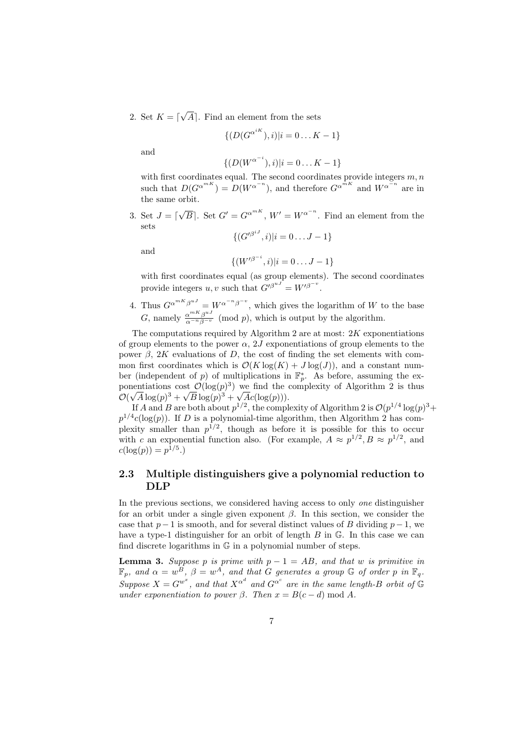2. Set  $K = \lceil$ √  $[A]$ . Find an element from the sets

$$
\{ (D(G^{\alpha^{iK}}), i) | i = 0...K - 1 \}
$$

and

$$
\{(D(W^{\alpha^{-i}}), i)|i = 0...K - 1\}
$$

with first coordinates equal. The second coordinates provide integers  $m, n$ such that  $D(G^{\alpha^{mK}}) = D(W^{\alpha^{-n}})$ , and therefore  $G^{\alpha^{mK}}$  and  $W^{\alpha^{-n}}$  are in the same orbit.

3. Set  $J = \lceil$  $\sqrt{B}$ . Set  $G' = G^{\alpha^{mK}}$ ,  $W' = W^{\alpha^{-n}}$ . Find an element from the sets  $\{(G'^{\beta^{iJ}}, i)|i = 0 \dots J-1\}$ 

and

$$
\{(W'^{\beta^{-i}}, i)|i = 0 \dots J - 1\}
$$

with first coordinates equal (as group elements). The second coordinates provide integers  $u, v$  such that  $G'^{\beta^{uJ}} = W'^{\beta^{-v}}$ .

4. Thus  $G^{\alpha^{mK}\beta^{uJ}} = W^{\alpha^{-n}\beta^{-v}}$ , which gives the logarithm of W to the base G, namely  $\frac{\alpha^{mK}\beta^{uJ}}{\alpha^{-n}\beta^{-v}}$  (mod p), which is output by the algorithm.

The computations required by Algorithm 2 are at most:  $2K$  exponentiations of group elements to the power  $\alpha$ , 2J exponentiations of group elements to the power  $β$ , 2K evaluations of D, the cost of finding the set elements with common first coordinates which is  $\mathcal{O}(K \log(K) + J \log(J))$ , and a constant number (independent of p) of multiplications in  $\mathbb{F}_p^*$ . As before, assuming the exponentiations cost  $\mathcal{O}(\log(p)^3)$  we find the complexity of Algorithm 2 is thus  $\mathcal{O}(\sqrt{A}\log(p)^3 + \sqrt{B}\log(p)^3 + \sqrt{A}c(\log(p))).$ 

If A and B are both about  $p^{1/2}$ , the complexity of Algorithm 2 is  $\mathcal{O}(p^{1/4} \log(p)^3 +$  $p^{1/4}c(\log(p))$ . If D is a polynomial-time algorithm, then Algorithm 2 has complexity smaller than  $p^{1/2}$ , though as before it is possible for this to occur with c an exponential function also. (For example,  $A \approx p^{1/2}, B \approx p^{1/2}$ , and  $c(\log(p)) = p^{1/5}$ .

### 2.3 Multiple distinguishers give a polynomial reduction to DLP

In the previous sections, we considered having access to only one distinguisher for an orbit under a single given exponent  $\beta$ . In this section, we consider the case that  $p-1$  is smooth, and for several distinct values of B dividing  $p-1$ , we have a type-1 distinguisher for an orbit of length B in G. In this case we can find discrete logarithms in G in a polynomial number of steps.

**Lemma 3.** Suppose p is prime with  $p - 1 = AB$ , and that w is primitive in  $\mathbb{F}_p$ , and  $\alpha = w^{\overline{B}}$ ,  $\beta = w^A$ , and that G generates a group G of order p in  $\mathbb{F}_q$ . Suppose  $X = G^{w^x}$ , and that  $X^{\alpha^d}$  and  $G^{\alpha^c}$  are in the same length-B orbit of G under exponentiation to power  $\beta$ . Then  $x = B(c - d) \bmod A$ .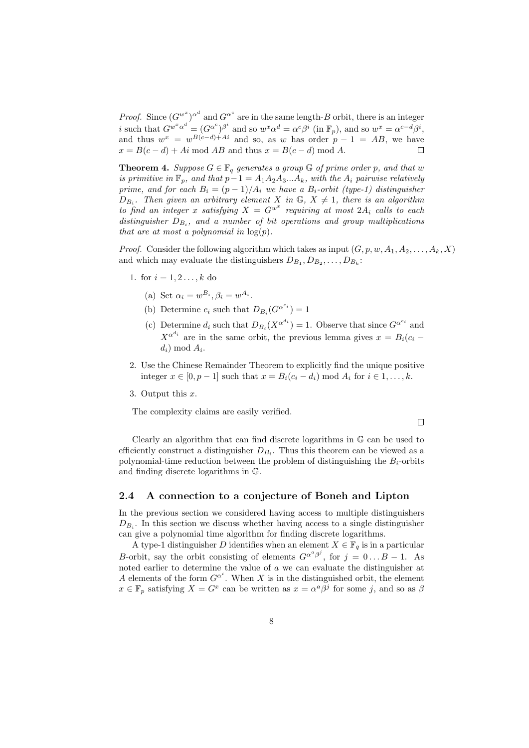*Proof.* Since  $(G^{w^x})^{\alpha^d}$  and  $G^{\alpha^c}$  are in the same length-B orbit, there is an integer *i* such that  $G^{w^x \alpha^d} = (G^{\alpha^c})^{\beta^i}$  and so  $w^x \alpha^d = \alpha^c \beta^i$  (in  $\mathbb{F}_p$ ), and so  $w^x = \alpha^{c-d} \beta^i$ , and thus  $w^x = w^{B(c-d)+Ai}$  and so, as w has order  $p-1 = AB$ , we have  $x = B(c - d) + Ai \text{ mod } AB$  and thus  $x = B(c - d) \text{ mod } A$ .

**Theorem 4.** Suppose  $G \in \mathbb{F}_q$  generates a group  $\mathbb{G}$  of prime order p, and that w is primitive in  $\mathbb{F}_p$ , and that  $p-1 = A_1 A_2 A_3 ... A_k$ , with the  $A_i$  pairwise relatively prime, and for each  $B_i = (p-1)/A_i$  we have a  $B_i$ -orbit (type-1) distinguisher  $D_{B_i}$ . Then given an arbitrary element X in  $\mathbb{G}, X \neq 1$ , there is an algorithm to find an integer x satisfying  $X = G^{w^x}$  requiring at most  $2A_i$  calls to each distinguisher  $D_{B_i}$ , and a number of bit operations and group multiplications that are at most a polynomial in  $log(p)$ .

*Proof.* Consider the following algorithm which takes as input  $(G, p, w, A_1, A_2, \ldots, A_k, X)$ and which may evaluate the distinguishers  $D_{B_1}, D_{B_2}, \ldots, D_{B_k}$ :

- 1. for  $i = 1, 2, ..., k$  do
	- (a) Set  $\alpha_i = w^{B_i}, \beta_i = w^{A_i}.$
	- (b) Determine  $c_i$  such that  $D_{B_i}(G^{\alpha^{c_i}})=1$
	- (c) Determine  $d_i$  such that  $D_{B_i}(X^{\alpha^{d_i}}) = 1$ . Observe that since  $G^{\alpha^{c_i}}$  and  $X^{\alpha^{d_i}}$  are in the same orbit, the previous lemma gives  $x = B_i(c_i$  $d_i) \bmod A_i.$
- 2. Use the Chinese Remainder Theorem to explicitly find the unique positive integer  $x \in [0, p-1]$  such that  $x = B_i(c_i - d_i) \text{ mod } A_i$  for  $i \in 1, \ldots, k$ .
- 3. Output this x.

The complexity claims are easily verified.

 $\Box$ 

Clearly an algorithm that can find discrete logarithms in G can be used to efficiently construct a distinguisher  $D_{B_i}$ . Thus this theorem can be viewed as a polynomial-time reduction between the problem of distinguishing the  $B_i$ -orbits and finding discrete logarithms in G.

#### 2.4 A connection to a conjecture of Boneh and Lipton

In the previous section we considered having access to multiple distinguishers  $D_{B_i}$ . In this section we discuss whether having access to a single distinguisher can give a polynomial time algorithm for finding discrete logarithms.

A type-1 distinguisher D identifies when an element  $X \in \mathbb{F}_q$  is in a particular B-orbit, say the orbit consisting of elements  $G^{\alpha^a\beta^j}$ , for  $j = 0...B - 1$ . As noted earlier to determine the value of a we can evaluate the distinguisher at A elements of the form  $G^{\alpha^i}$ . When X is in the distinguished orbit, the element  $x \in \mathbb{F}_p$  satisfying  $X = G^x$  can be written as  $x = \alpha^a \beta^j$  for some j, and so as  $\beta$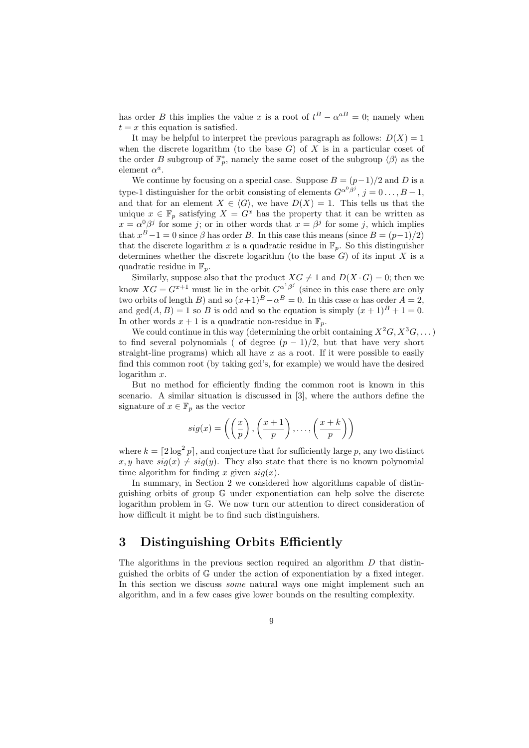has order B this implies the value x is a root of  $t^B - \alpha^{aB} = 0$ ; namely when  $t = x$  this equation is satisfied.

It may be helpful to interpret the previous paragraph as follows:  $D(X) = 1$ when the discrete logarithm (to the base  $G$ ) of  $X$  is in a particular coset of the order B subgroup of  $\mathbb{F}_p^*$ , namely the same coset of the subgroup  $\langle \beta \rangle$  as the element  $\alpha^a$ .

We continue by focusing on a special case. Suppose  $B = (p-1)/2$  and D is a type-1 distinguisher for the orbit consisting of elements  $G^{\alpha^0\beta^j}$ ,  $j=0 \ldots, B-1$ , and that for an element  $X \in \langle G \rangle$ , we have  $D(X) = 1$ . This tells us that the unique  $x \in \mathbb{F}_n$  satisfying  $X = G^x$  has the property that it can be written as  $x = \alpha^0 \beta^j$  for some j; or in other words that  $x = \beta^j$  for some j, which implies that  $x^B - 1 = 0$  since  $\beta$  has order B. In this case this means (since  $B = (p-1)/2$ ) that the discrete logarithm x is a quadratic residue in  $\mathbb{F}_p$ . So this distinguisher determines whether the discrete logarithm (to the base  $G$ ) of its input  $X$  is a quadratic residue in  $\mathbb{F}_p$ .

Similarly, suppose also that the product  $XG \neq 1$  and  $D(X \cdot G) = 0$ ; then we know  $XG = G^{x+1}$  must lie in the orbit  $G^{\alpha^1\beta^j}$  (since in this case there are only two orbits of length B) and so  $(x+1)^B - \alpha^B = 0$ . In this case  $\alpha$  has order  $A = 2$ , and  $gcd(A, B) = 1$  so B is odd and so the equation is simply  $(x + 1)^{B} + 1 = 0$ . In other words  $x + 1$  is a quadratic non-residue in  $\mathbb{F}_p$ .

We could continue in this way (determining the orbit containing  $X^2G, X^3G, \dots$ ) to find several polynomials ( of degree  $(p-1)/2$ , but that have very short straight-line programs) which all have  $x$  as a root. If it were possible to easily find this common root (by taking gcd's, for example) we would have the desired logarithm x.

But no method for efficiently finding the common root is known in this scenario. A similar situation is discussed in [3], where the authors define the signature of  $x \in \mathbb{F}_p$  as the vector

$$
sig(x) = \left( \left( \frac{x}{p} \right), \left( \frac{x+1}{p} \right), \dots, \left( \frac{x+k}{p} \right) \right)
$$

where  $k = \lfloor 2 \log^2 p \rfloor$ , and conjecture that for sufficiently large p, any two distinct  $x, y$  have  $sig(x) \neq sig(y)$ . They also state that there is no known polynomial time algorithm for finding x given  $sig(x)$ .

In summary, in Section 2 we considered how algorithms capable of distinguishing orbits of group G under exponentiation can help solve the discrete logarithm problem in G. We now turn our attention to direct consideration of how difficult it might be to find such distinguishers.

# 3 Distinguishing Orbits Efficiently

The algorithms in the previous section required an algorithm D that distinguished the orbits of G under the action of exponentiation by a fixed integer. In this section we discuss *some* natural ways one might implement such an algorithm, and in a few cases give lower bounds on the resulting complexity.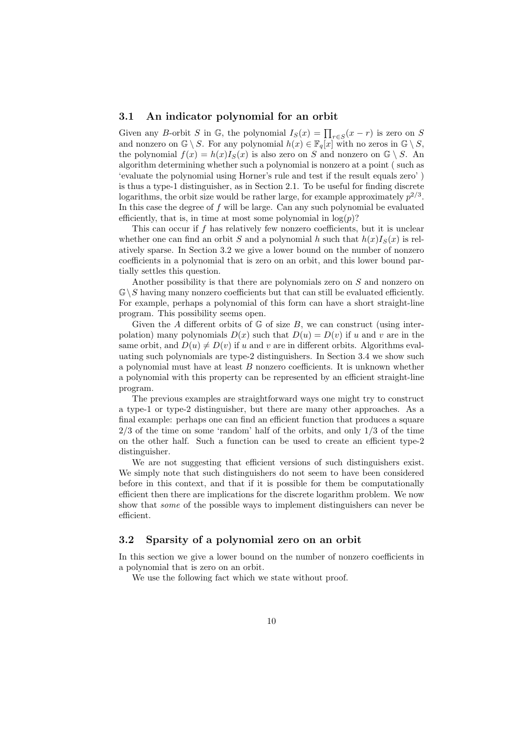#### 3.1 An indicator polynomial for an orbit

Given any B-orbit S in  $\mathbb{G}$ , the polynomial  $I_S(x) = \prod_{r \in S} (x - r)$  is zero on S and nonzero on  $\mathbb{G} \setminus S$ . For any polynomial  $h(x) \in \mathbb{F}_q[x]$  with no zeros in  $\mathbb{G} \setminus S$ , the polynomial  $f(x) = h(x)I<sub>S</sub>(x)$  is also zero on S and nonzero on  $\mathbb{G} \setminus S$ . An algorithm determining whether such a polynomial is nonzero at a point ( such as 'evaluate the polynomial using Horner's rule and test if the result equals zero' ) is thus a type-1 distinguisher, as in Section 2.1. To be useful for finding discrete logarithms, the orbit size would be rather large, for example approximately  $p^{2/3}$ . In this case the degree of  $f$  will be large. Can any such polynomial be evaluated efficiently, that is, in time at most some polynomial in  $log(p)$ ?

This can occur if  $f$  has relatively few nonzero coefficients, but it is unclear whether one can find an orbit S and a polynomial h such that  $h(x)I_{S}(x)$  is relatively sparse. In Section 3.2 we give a lower bound on the number of nonzero coefficients in a polynomial that is zero on an orbit, and this lower bound partially settles this question.

Another possibility is that there are polynomials zero on S and nonzero on  $\mathbb{G}\backslash S$  having many nonzero coefficients but that can still be evaluated efficiently. For example, perhaps a polynomial of this form can have a short straight-line program. This possibility seems open.

Given the A different orbits of  $\mathbb G$  of size B, we can construct (using interpolation) many polynomials  $D(x)$  such that  $D(u) = D(v)$  if u and v are in the same orbit, and  $D(u) \neq D(v)$  if u and v are in different orbits. Algorithms evaluating such polynomials are type-2 distinguishers. In Section 3.4 we show such a polynomial must have at least  $B$  nonzero coefficients. It is unknown whether a polynomial with this property can be represented by an efficient straight-line program.

The previous examples are straightforward ways one might try to construct a type-1 or type-2 distinguisher, but there are many other approaches. As a final example: perhaps one can find an efficient function that produces a square 2/3 of the time on some 'random' half of the orbits, and only 1/3 of the time on the other half. Such a function can be used to create an efficient type-2 distinguisher.

We are not suggesting that efficient versions of such distinguishers exist. We simply note that such distinguishers do not seem to have been considered before in this context, and that if it is possible for them be computationally efficient then there are implications for the discrete logarithm problem. We now show that some of the possible ways to implement distinguishers can never be efficient.

### 3.2 Sparsity of a polynomial zero on an orbit

In this section we give a lower bound on the number of nonzero coefficients in a polynomial that is zero on an orbit.

We use the following fact which we state without proof.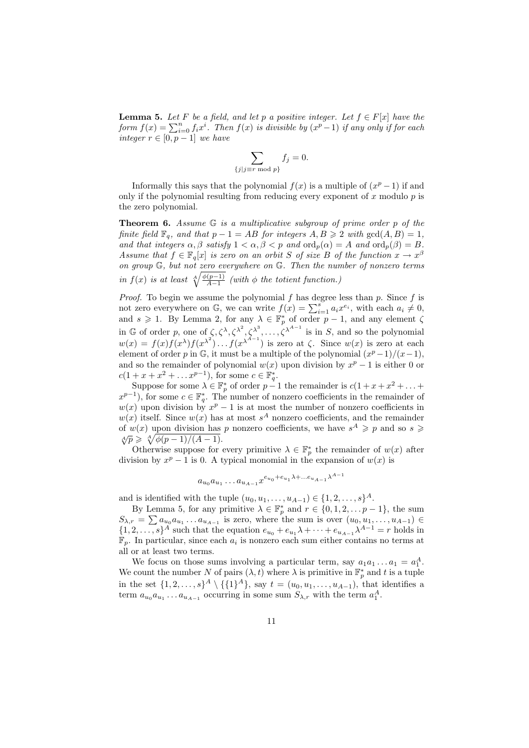**Lemma 5.** Let F be a field, and let p a positive integer. Let  $f \in F[x]$  have the form  $f(x) = \sum_{i=0}^{n} f_i x^i$ . Then  $f(x)$  is divisible by  $(x^p - 1)$  if any only if for each integer  $r \in [0, p-1]$  we have

$$
\sum_{\{j\mid j\equiv r \bmod p\}} f_j = 0.
$$

Informally this says that the polynomial  $f(x)$  is a multiple of  $(x^p - 1)$  if and only if the polynomial resulting from reducing every exponent of  $x$  modulo  $p$  is the zero polynomial.

**Theorem 6.** Assume  $G$  is a multiplicative subgroup of prime order  $p$  of the finite field  $\mathbb{F}_q$ , and that  $p - 1 = AB$  for integers  $A, B \geq 2$  with  $gcd(A, B) = 1$ , and that integers  $\alpha, \beta$  satisfy  $1 < \alpha, \beta < p$  and  $\text{ord}_p(\alpha) = A$  and  $\text{ord}_p(\beta) = B$ . Assume that  $f \in \mathbb{F}_q[x]$  is zero on an orbit S of size B of the function  $x \to x^{\beta}$ on group G, but not zero everywhere on G. Then the number of nonzero terms in  $f(x)$  is at least  $\sqrt[4]{\frac{\phi(p-1)}{A-1}}$  (with  $\phi$  the totient function.)

*Proof.* To begin we assume the polynomial  $f$  has degree less than  $p$ . Since  $f$  is not zero everywhere on G, we can write  $f(x) = \sum_{i=1}^{s} a_i x^{e_i}$ , with each  $a_i \neq 0$ , and  $s \geq 1$ . By Lemma 2, for any  $\lambda \in \mathbb{F}_p^*$  of order  $p-1$ , and any element  $\zeta$ in G of order p, one of  $\zeta, \zeta^{\lambda}, \zeta^{\lambda^2}, \zeta^{\lambda^3}, \ldots, \zeta^{\lambda^{A-1}}$  is in S, and so the polynomial  $w(x) = f(x)f(x^{\lambda})f(x^{\lambda^2})\dots f(x^{\lambda^{A-1}})$  is zero at  $\zeta$ . Since  $w(x)$  is zero at each element of order p in  $\mathbb{G}$ , it must be a multiple of the polynomial  $(x^p-1)/(x-1)$ , and so the remainder of polynomial  $w(x)$  upon division by  $x^p - 1$  is either 0 or  $c(1 + x + x^2 + \dots x^{p-1}),$  for some  $c \in \mathbb{F}_q^*$ .

Suppose for some  $\lambda \in \mathbb{F}_p^*$  of order  $p-1$  the remainder is  $c(1+x+x^2+\ldots+$  $(x^{p-1})$ , for some  $c \in \mathbb{F}_q^*$ . The number of nonzero coefficients in the remainder of  $w(x)$  upon division by  $x^p - 1$  is at most the number of nonzero coefficients in  $w(x)$  itself. Since  $w(x)$  has at most  $s^A$  nonzero coefficients, and the remainder of  $w(x)$  upon division has p nonzero coefficients, we have  $s^A \geqslant p$  and so  $s \geqslant$  $\sqrt[4]{p} \geq \sqrt[4]{\phi(p-1)/(A-1)}.$ 

Otherwise suppose for every primitive  $\lambda \in \mathbb{F}_p^*$  the remainder of  $w(x)$  after division by  $x^p - 1$  is 0. A typical monomial in the expansion of  $w(x)$  is

$$
a_{u_0} a_{u_1} \dots a_{u_{A-1}} x^{e_{u_0} + e_{u_1} \lambda + \dots e_{u_{A-1}} \lambda^{A-1}}
$$

and is identified with the tuple  $(u_0, u_1, \ldots, u_{A-1}) \in \{1, 2, \ldots, s\}^A$ .

By Lemma 5, for any primitive  $\lambda \in \mathbb{F}_p^*$  and  $r \in \{0, 1, 2, \ldots p-1\}$ , the sum  $S_{\lambda,r} = \sum a_{u_0} a_{u_1} \dots a_{u_{A-1}}$  is zero, where the sum is over  $(u_0, u_1, \dots, u_{A-1}) \in$  $\{1, 2, \ldots, s\}^A$  such that the equation  $e_{u_0} + e_{u_1} \lambda + \cdots + e_{u_{A-1}} \lambda^{A-1} = r$  holds in  $\mathbb{F}_p$ . In particular, since each  $a_i$  is nonzero each sum either contains no terms at all or at least two terms.

We focus on those sums involving a particular term, say  $a_1a_1 \ldots a_1 = a_1^A$ . We count the number N of pairs  $(\lambda, t)$  where  $\lambda$  is primitive in  $\mathbb{F}_p^*$  and t is a tuple in the set  $\{1, 2, ..., s\}^A \setminus \{\{1\}^A\},\$  say  $t = (u_0, u_1, ..., u_{A-1})$ , that identifies a term  $a_{u_0}a_{u_1}\dots a_{u_{A-1}}$  occurring in some sum  $S_{\lambda,r}$  with the term  $a_1^A$ .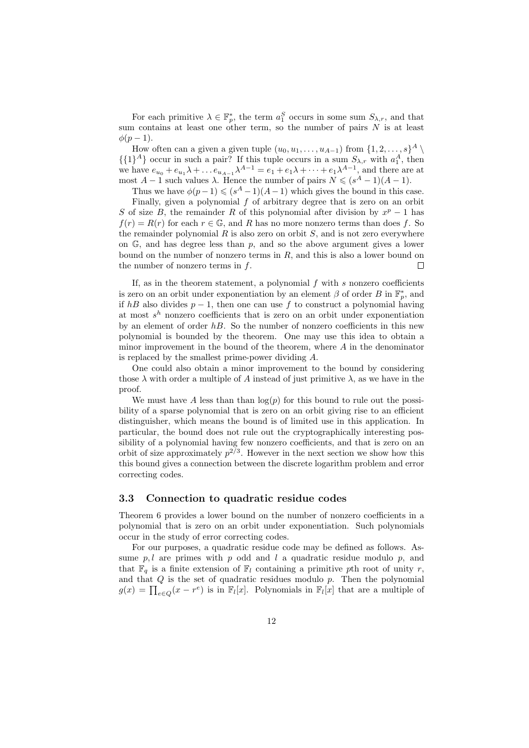For each primitive  $\lambda \in \mathbb{F}_p^*$ , the term  $a_1^S$  occurs in some sum  $S_{\lambda,r}$ , and that sum contains at least one other term, so the number of pairs  $N$  is at least  $\phi(p-1)$ .

How often can a given a given tuple  $(u_0, u_1, \ldots, u_{A-1})$  from  $\{1, 2, \ldots, s\}^A \setminus$  $\{\{1\}^A\}$  occur in such a pair? If this tuple occurs in a sum  $S_{\lambda,r}$  with  $a_1^A$ , then we have  $e_{u_0} + e_{u_1} \lambda + \dots + e_{u_{A-1}} \lambda^{A-1} = e_1 + e_1 \lambda + \dots + e_1 \lambda^{A-1}$ , and there are at most  $A-1$  such values  $\lambda$ . Hence the number of pairs  $N \leq (s^A-1)(A-1)$ .

Thus we have  $\phi(p-1) \leqslant (s^A - 1)(A-1)$  which gives the bound in this case.

Finally, given a polynomial f of arbitrary degree that is zero on an orbit S of size B, the remainder R of this polynomial after division by  $x^p - 1$  has  $f(r) = R(r)$  for each  $r \in \mathbb{G}$ , and R has no more nonzero terms than does f. So the remainder polynomial  $R$  is also zero on orbit  $S$ , and is not zero everywhere on  $\mathbb{G}$ , and has degree less than p, and so the above argument gives a lower bound on the number of nonzero terms in  $R$ , and this is also a lower bound on the number of nonzero terms in  $f$ .  $\Box$ 

If, as in the theorem statement, a polynomial  $f$  with  $s$  nonzero coefficients is zero on an orbit under exponentiation by an element  $\beta$  of order B in  $\mathbb{F}_p^*$ , and if hB also divides  $p-1$ , then one can use f to construct a polynomial having at most  $s^h$  nonzero coefficients that is zero on an orbit under exponentiation by an element of order  $hB$ . So the number of nonzero coefficients in this new polynomial is bounded by the theorem. One may use this idea to obtain a minor improvement in the bound of the theorem, where  $A$  in the denominator is replaced by the smallest prime-power dividing A.

One could also obtain a minor improvement to the bound by considering those  $\lambda$  with order a multiple of A instead of just primitive  $\lambda$ , as we have in the proof.

We must have A less than than  $log(p)$  for this bound to rule out the possibility of a sparse polynomial that is zero on an orbit giving rise to an efficient distinguisher, which means the bound is of limited use in this application. In particular, the bound does not rule out the cryptographically interesting possibility of a polynomial having few nonzero coefficients, and that is zero on an orbit of size approximately  $p^{2/3}$ . However in the next section we show how this this bound gives a connection between the discrete logarithm problem and error correcting codes.

### 3.3 Connection to quadratic residue codes

Theorem 6 provides a lower bound on the number of nonzero coefficients in a polynomial that is zero on an orbit under exponentiation. Such polynomials occur in the study of error correcting codes.

For our purposes, a quadratic residue code may be defined as follows. Assume  $p, l$  are primes with  $p$  odd and  $l$  a quadratic residue modulo  $p$ , and that  $\mathbb{F}_q$  is a finite extension of  $\mathbb{F}_l$  containing a primitive pth root of unity r, and that  $Q$  is the set of quadratic residues modulo  $p$ . Then the polynomial  $g(x) = \prod_{e \in Q} (x - r^e)$  is in  $\mathbb{F}_l[x]$ . Polynomials in  $\mathbb{F}_l[x]$  that are a multiple of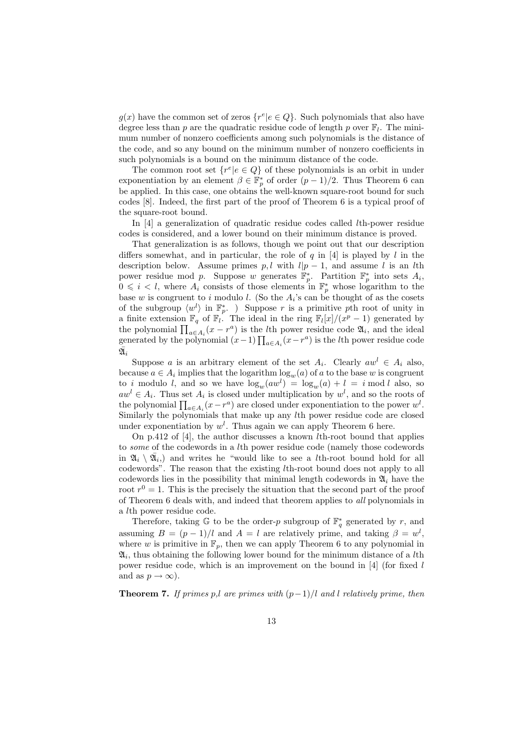$g(x)$  have the common set of zeros  $\{r^e | e \in Q\}$ . Such polynomials that also have degree less than p are the quadratic residue code of length p over  $\mathbb{F}_l$ . The minimum number of nonzero coefficients among such polynomials is the distance of the code, and so any bound on the minimum number of nonzero coefficients in such polynomials is a bound on the minimum distance of the code.

The common root set  $\{r^e | e \in Q\}$  of these polynomials is an orbit in under exponentiation by an element  $\beta \in \mathbb{F}_p^*$  of order  $(p-1)/2$ . Thus Theorem 6 can be applied. In this case, one obtains the well-known square-root bound for such codes [8]. Indeed, the first part of the proof of Theorem 6 is a typical proof of the square-root bound.

In [4] a generalization of quadratic residue codes called lth-power residue codes is considered, and a lower bound on their minimum distance is proved.

That generalization is as follows, though we point out that our description differs somewhat, and in particular, the role of  $q$  in [4] is played by  $l$  in the description below. Assume primes p, l with  $l|p-1$ , and assume l is an lth power residue mod p. Suppose w generates  $\mathbb{F}_p^*$ . Partition  $\mathbb{F}_p^*$  into sets  $A_i$ ,  $0 \leq i \leq l$ , where  $A_i$  consists of those elements in  $\mathbb{F}_p^*$  whose logarithm to the base w is congruent to i modulo l. (So the  $A_i$ 's can be thought of as the cosets of the subgroup  $\langle w^l \rangle$  in  $\mathbb{F}_p^*$ . ) Suppose r is a primitive pth root of unity in a finite extension  $\mathbb{F}_q$  of  $\mathbb{F}_l$ . The ideal in the ring  $\mathbb{F}_l[x]/(x^p-1)$  generated by the polynomial  $\prod_{a \in A_i} (x - r^a)$  is the *l*th power residue code  $\mathfrak{A}_i$ , and the ideal generated by the polynomial  $(x-1) \prod_{a \in A_i} (x-r^a)$  is the *l*th power residue code  $\bar{\mathfrak A}_i$ 

Suppose a is an arbitrary element of the set  $A_i$ . Clearly  $aw^l \in A_i$  also, because  $a \in A_i$  implies that the logarithm  $\log_w(a)$  of a to the base w is congruent to i modulo l, and so we have  $\log_w(aw^l) = \log_w(a) + l = i \mod l$  also, so  $aw<sup>l</sup> \in A<sub>i</sub>$ . Thus set  $A<sub>i</sub>$  is closed under multiplication by  $w<sup>l</sup>$ , and so the roots of the polynomial  $\prod_{a \in A_i} (x - r^a)$  are closed under exponentiation to the power  $w^l$ . Similarly the polynomials that make up any lth power residue code are closed under exponentiation by  $w^l$ . Thus again we can apply Theorem 6 here.

On p.412 of [4], the author discusses a known  $l$ th-root bound that applies to some of the codewords in a lth power residue code (namely those codewords in  $\mathfrak{A}_i \setminus \overline{\mathfrak{A}}_i$  and writes he "would like to see a *l*th-root bound hold for all codewords". The reason that the existing lth-root bound does not apply to all codewords lies in the possibility that minimal length codewords in  $\mathfrak{A}_i$  have the root  $r^0 = 1$ . This is the precisely the situation that the second part of the proof of Theorem 6 deals with, and indeed that theorem applies to all polynomials in a lth power residue code.

Therefore, taking  $\mathbb{G}$  to be the order-p subgroup of  $\mathbb{F}_q^*$  generated by r, and assuming  $B = (p-1)/l$  and  $A = l$  are relatively prime, and taking  $\beta = w^l$ , where w is primitive in  $\mathbb{F}_p$ , then we can apply Theorem 6 to any polynomial in  $\mathfrak{A}_i$ , thus obtaining the following lower bound for the minimum distance of a *l*th power residue code, which is an improvement on the bound in [4] (for fixed l and as  $p \to \infty$ ).

**Theorem 7.** If primes p,l are primes with  $(p-1)/l$  and l relatively prime, then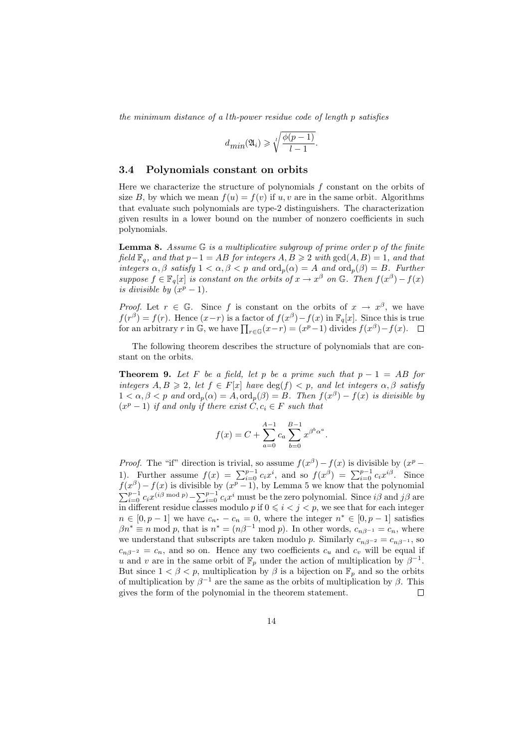the minimum distance of a lth-power residue code of length p satisfies

$$
d_{min}(\mathfrak{A}_i) \geq \sqrt[l]{\frac{\phi(p-1)}{l-1}}.
$$

#### 3.4 Polynomials constant on orbits

Here we characterize the structure of polynomials  $f$  constant on the orbits of size B, by which we mean  $f(u) = f(v)$  if u, v are in the same orbit. Algorithms that evaluate such polynomials are type-2 distinguishers. The characterization given results in a lower bound on the number of nonzero coefficients in such polynomials.

**Lemma 8.** Assume  $\mathbb{G}$  is a multiplicative subgroup of prime order p of the finite field  $\mathbb{F}_q$ , and that  $p-1 = AB$  for integers  $A, B \geq 2$  with  $gcd(A, B) = 1$ , and that integers  $\alpha, \beta$  satisfy  $1 < \alpha, \beta < p$  and  $\text{ord}_p(\alpha) = A$  and  $\text{ord}_p(\beta) = B$ . Further suppose  $f \in \mathbb{F}_q[x]$  is constant on the orbits of  $x \to x^{\beta}$  on G. Then  $f(x^{\beta}) - f(x)$ is divisible by  $(x^p - 1)$ .

*Proof.* Let  $r \in \mathbb{G}$ . Since f is constant on the orbits of  $x \to x^{\beta}$ , we have  $f(r^{\beta}) = f(r)$ . Hence  $(x-r)$  is a factor of  $f(x^{\beta}) - f(x)$  in  $\mathbb{F}_q[x]$ . Since this is true for an arbitrary r in G, we have  $\prod_{r \in \mathbb{G}} (x-r) = (x^p - 1)$  divides  $f(x^{\beta}) - f(x)$ .

The following theorem describes the structure of polynomials that are constant on the orbits.

**Theorem 9.** Let F be a field, let p be a prime such that  $p - 1 = AB$  for integers  $A, B \geq 2$ , let  $f \in F[x]$  have  $deg(f) < p$ , and let integers  $\alpha, \beta$  satisfy  $1 < \alpha, \beta < p$  and  $\text{ord}_p(\alpha) = A, \text{ord}_p(\beta) = B$ . Then  $f(x^{\beta}) - f(x)$  is divisible by  $(x^p - 1)$  if and only if there exist  $C, c_i \in F$  such that

$$
f(x) = C + \sum_{a=0}^{A-1} c_a \sum_{b=0}^{B-1} x^{\beta^b \alpha^a}.
$$

*Proof.* The "if" direction is trivial, so assume  $f(x^{\beta}) - f(x)$  is divisible by  $(x^p -$ 1). Further assume  $f(x) = \sum_{i=0}^{p-1} c_i x^i$ , and so  $f(x^{\beta}) = \sum_{i=0}^{p-1} c_i x^{i\beta}$ . Since  $f(x^{\beta}) - f(x)$  is divisible by  $(x^{p} - 1)$ , by Lemma 5 we know that the polynomial  $\sum_{i=0}^{p-1} c_i x^{(i\beta \mod p)} - \sum_{i=0}^{p-1} c_i x^i$  must be the zero polynomial. Since  $i\beta$  and  $j\beta$  are in different residue classes modulo p if  $0 \leq i \leq j \leq p$ , we see that for each integer  $n \in [0, p-1]$  we have  $c_{n^*} - c_n = 0$ , where the integer  $n^* \in [0, p-1]$  satisfies  $\beta n^* \equiv n \mod p$ , that is  $n^* = (n\beta^{-1} \mod p)$ . In other words,  $c_{n\beta^{-1}} = c_n$ , where we understand that subscripts are taken modulo p. Similarly  $c_{n\beta^{-2}} = c_{n\beta^{-1}}$ , so  $c_{n\beta-2} = c_n$ , and so on. Hence any two coefficients  $c_u$  and  $c_v$  will be equal if u and v are in the same orbit of  $\mathbb{F}_p$  under the action of multiplication by  $\beta^{-1}$ . But since  $1 < \beta < p$ , multiplication by  $\beta$  is a bijection on  $\mathbb{F}_p$  and so the orbits of multiplication by  $\beta^{-1}$  are the same as the orbits of multiplication by  $\beta$ . This gives the form of the polynomial in the theorem statement. П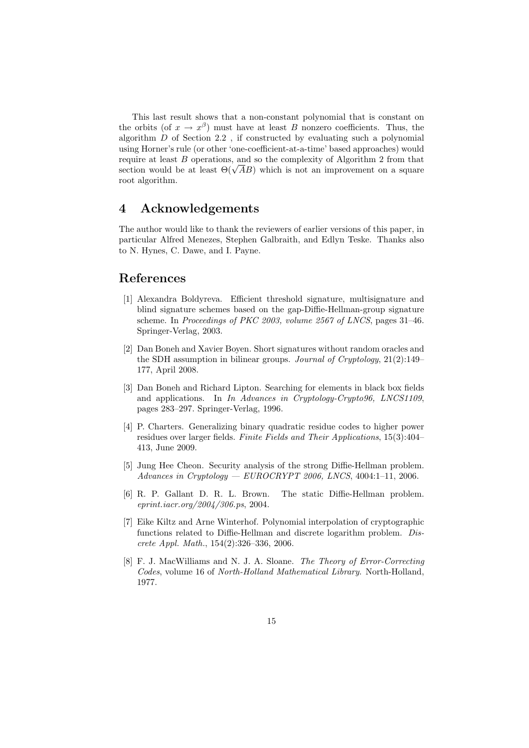This last result shows that a non-constant polynomial that is constant on the orbits (of  $x \to x^{\beta}$ ) must have at least B nonzero coefficients. Thus, the algorithm D of Section 2.2 , if constructed by evaluating such a polynomial using Horner's rule (or other 'one-coefficient-at-a-time' based approaches) would require at least B operations, and so the complexity of Algorithm 2 from that require at least B operations, and so the complexity of Algorithm 2 from that section would be at least  $\Theta(\sqrt{AB})$  which is not an improvement on a square root algorithm.

### 4 Acknowledgements

The author would like to thank the reviewers of earlier versions of this paper, in particular Alfred Menezes, Stephen Galbraith, and Edlyn Teske. Thanks also to N. Hynes, C. Dawe, and I. Payne.

### References

- [1] Alexandra Boldyreva. Efficient threshold signature, multisignature and blind signature schemes based on the gap-Diffie-Hellman-group signature scheme. In Proceedings of PKC 2003, volume 2567 of LNCS, pages 31–46. Springer-Verlag, 2003.
- [2] Dan Boneh and Xavier Boyen. Short signatures without random oracles and the SDH assumption in bilinear groups. Journal of Cryptology, 21(2):149– 177, April 2008.
- [3] Dan Boneh and Richard Lipton. Searching for elements in black box fields and applications. In In Advances in Cryptology-Crypto96, LNCS1109, pages 283–297. Springer-Verlag, 1996.
- [4] P. Charters. Generalizing binary quadratic residue codes to higher power residues over larger fields. Finite Fields and Their Applications, 15(3):404– 413, June 2009.
- [5] Jung Hee Cheon. Security analysis of the strong Diffie-Hellman problem.  $Advances in Cryptology - EUROCRYPT 2006, LNCS, 4004:1-11, 2006.$
- [6] R. P. Gallant D. R. L. Brown. The static Diffie-Hellman problem. eprint.iacr.org/2004/306.ps, 2004.
- [7] Eike Kiltz and Arne Winterhof. Polynomial interpolation of cryptographic functions related to Diffie-Hellman and discrete logarithm problem. Discrete Appl. Math., 154(2):326–336, 2006.
- [8] F. J. MacWilliams and N. J. A. Sloane. The Theory of Error-Correcting Codes, volume 16 of North-Holland Mathematical Library. North-Holland, 1977.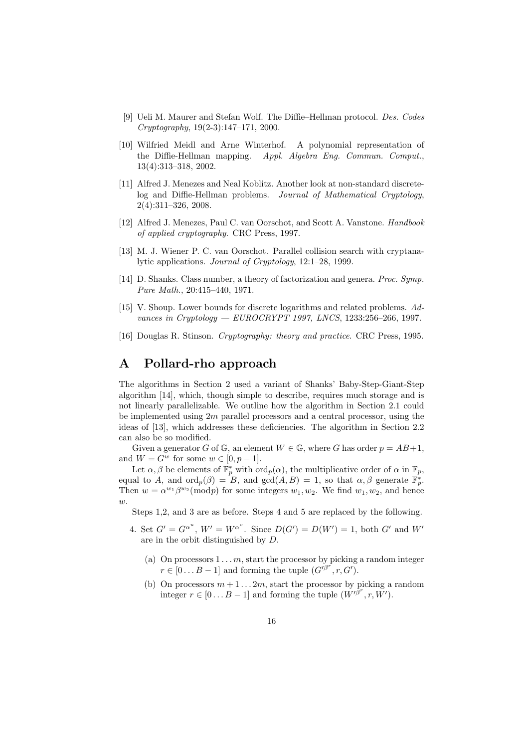- [9] Ueli M. Maurer and Stefan Wolf. The Diffie–Hellman protocol. Des. Codes Cryptography, 19(2-3):147–171, 2000.
- [10] Wilfried Meidl and Arne Winterhof. A polynomial representation of the Diffie-Hellman mapping. Appl. Algebra Eng. Commun. Comput., 13(4):313–318, 2002.
- [11] Alfred J. Menezes and Neal Koblitz. Another look at non-standard discretelog and Diffie-Hellman problems. Journal of Mathematical Cryptology, 2(4):311–326, 2008.
- [12] Alfred J. Menezes, Paul C. van Oorschot, and Scott A. Vanstone. Handbook of applied cryptography. CRC Press, 1997.
- [13] M. J. Wiener P. C. van Oorschot. Parallel collision search with cryptanalytic applications. Journal of Cryptology, 12:1–28, 1999.
- [14] D. Shanks. Class number, a theory of factorization and genera. Proc. Symp. Pure Math., 20:415–440, 1971.
- [15] V. Shoup. Lower bounds for discrete logarithms and related problems. Advances in Cryptology — EUROCRYPT 1997, LNCS, 1233:256-266, 1997.
- [16] Douglas R. Stinson. Cryptography: theory and practice. CRC Press, 1995.

# A Pollard-rho approach

The algorithms in Section 2 used a variant of Shanks' Baby-Step-Giant-Step algorithm [14], which, though simple to describe, requires much storage and is not linearly parallelizable. We outline how the algorithm in Section 2.1 could be implemented using  $2m$  parallel processors and a central processor, using the ideas of [13], which addresses these deficiencies. The algorithm in Section 2.2 can also be so modified.

Given a generator G of G, an element  $W \in \mathbb{G}$ , where G has order  $p = AB+1$ , and  $W = G^w$  for some  $w \in [0, p-1]$ .

Let  $\alpha, \beta$  be elements of  $\mathbb{F}_p^*$  with  $\text{ord}_p(\alpha)$ , the multiplicative order of  $\alpha$  in  $\mathbb{F}_p$ , equal to A, and  $\text{ord}_p(\beta) = B$ , and  $\text{gcd}(A, B) = 1$ , so that  $\alpha, \beta$  generate  $\mathbb{F}_p^*$ . Then  $w = \alpha^{w_1} \beta^{w_2}(\text{mod}p)$  for some integers  $w_1, w_2$ . We find  $w_1, w_2$ , and hence  $w.$ 

Steps 1,2, and 3 are as before. Steps 4 and 5 are replaced by the following.

- 4. Set  $G' = G^{\alpha^u}$ ,  $W' = W^{\alpha^v}$ . Since  $D(G') = D(W') = 1$ , both  $G'$  and  $W'$ are in the orbit distinguished by D.
	- (a) On processors  $1 \ldots m$ , start the processor by picking a random integer  $r \in [0...B-1]$  and forming the tuple  $(G^{i\beta^{r}}, r, G^{r})$ .
	- (b) On processors  $m+1...2m$ , start the processor by picking a random integer  $r \in [0...B-1]$  and forming the tuple  $(W'^{\beta^r}, r, W')$ .